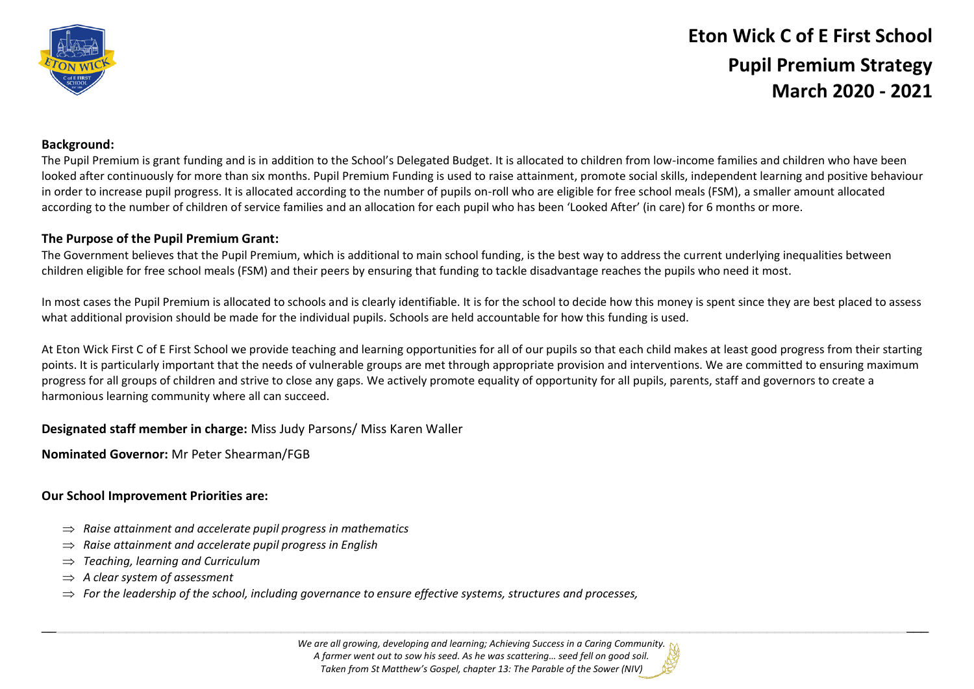

# **Eton Wick C of E First School Pupil Premium Strategy March 2020 - 2021**

## **Background:**

The Pupil Premium is grant funding and is in addition to the School's Delegated Budget. It is allocated to children from low-income families and children who have been looked after continuously for more than six months. Pupil Premium Funding is used to raise attainment, promote social skills, independent learning and positive behaviour in order to increase pupil progress. It is allocated according to the number of pupils on-roll who are eligible for free school meals (FSM), a smaller amount allocated according to the number of children of service families and an allocation for each pupil who has been 'Looked After' (in care) for 6 months or more.

## **The Purpose of the Pupil Premium Grant:**

The Government believes that the Pupil Premium, which is additional to main school funding, is the best way to address the current underlying inequalities between children eligible for free school meals (FSM) and their peers by ensuring that funding to tackle disadvantage reaches the pupils who need it most.

In most cases the Pupil Premium is allocated to schools and is clearly identifiable. It is for the school to decide how this money is spent since they are best placed to assess what additional provision should be made for the individual pupils. Schools are held accountable for how this funding is used.

At Eton Wick First C of E First School we provide teaching and learning opportunities for all of our pupils so that each child makes at least good progress from their starting points. It is particularly important that the needs of vulnerable groups are met through appropriate provision and interventions. We are committed to ensuring maximum progress for all groups of children and strive to close any gaps. We actively promote equality of opportunity for all pupils, parents, staff and governors to create a harmonious learning community where all can succeed.

### **Designated staff member in charge:** Miss Judy Parsons/ Miss Karen Waller

**Nominated Governor:** Mr Peter Shearman/FGB

### **Our School Improvement Priorities are:**

- $\Rightarrow$  Raise attainment and accelerate pupil progress in mathematics
- *Raise attainment and accelerate pupil progress in English*
- *Teaching, learning and Curriculum*
- *A clear system of assessment*
- $\Rightarrow$  For the leadership of the school, including governance to ensure effective systems, structures and processes,

*We are all growing, developing and learning; Achieving Success in a Caring Community. A farmer went out to sow his seed. As he was scattering… seed fell on good soil. Taken from St Matthew's Gospel, chapter 13: The Parable of the Sower (NIV)*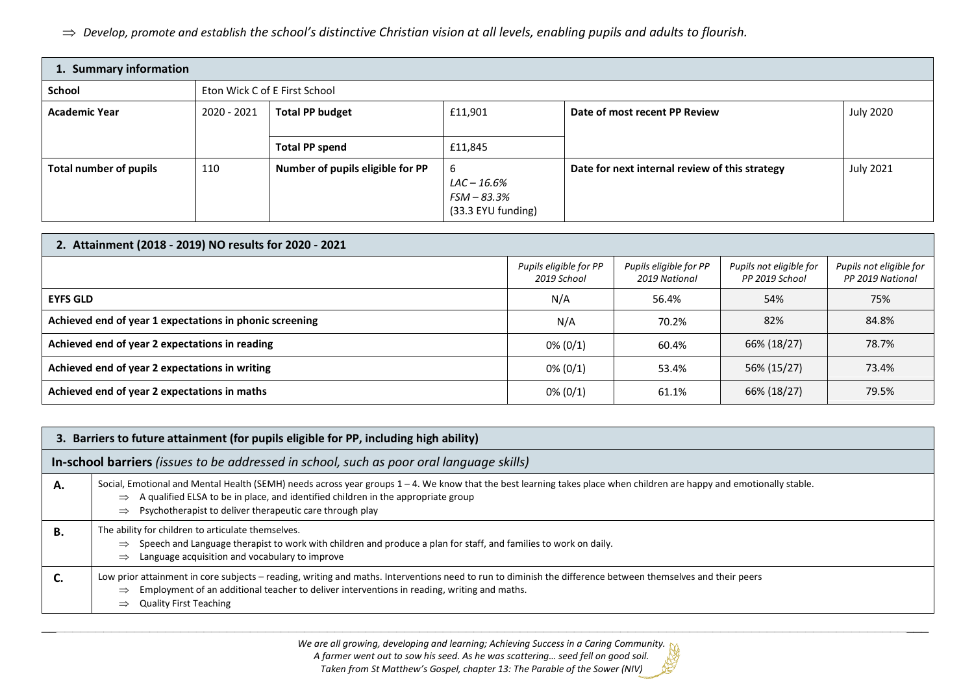*Develop, promote and establish the school's distinctive Christian vision at all levels, enabling pupils and adults to flourish.*

| 1. Summary information |                               |                                  |                                                       |                                                |                  |
|------------------------|-------------------------------|----------------------------------|-------------------------------------------------------|------------------------------------------------|------------------|
| School                 | Eton Wick C of E First School |                                  |                                                       |                                                |                  |
| <b>Academic Year</b>   | 2020 - 2021                   | <b>Total PP budget</b>           | £11,901                                               | Date of most recent PP Review                  | <b>July 2020</b> |
|                        |                               | <b>Total PP spend</b>            | £11,845                                               |                                                |                  |
| Total number of pupils | 110                           | Number of pupils eligible for PP | 6<br>LAC – 16.6%<br>FSM - 83.3%<br>(33.3 EYU funding) | Date for next internal review of this strategy | <b>July 2021</b> |

| 2. Attainment (2018 - 2019) NO results for 2020 - 2021  |                                       |                                         |                                           |                                             |
|---------------------------------------------------------|---------------------------------------|-----------------------------------------|-------------------------------------------|---------------------------------------------|
|                                                         | Pupils eligible for PP<br>2019 School | Pupils eligible for PP<br>2019 National | Pupils not eligible for<br>PP 2019 School | Pupils not eligible for<br>PP 2019 National |
| <b>EYFS GLD</b>                                         | N/A                                   | 56.4%                                   | 54%                                       | 75%                                         |
| Achieved end of year 1 expectations in phonic screening | N/A                                   | 70.2%                                   | 82%                                       | 84.8%                                       |
| Achieved end of year 2 expectations in reading          | $0\% (0/1)$                           | 60.4%                                   | 66% (18/27)                               | 78.7%                                       |
| Achieved end of year 2 expectations in writing          | $0\% (0/1)$                           | 53.4%                                   | 56% (15/27)                               | 73.4%                                       |
| Achieved end of year 2 expectations in maths            | $0\% (0/1)$                           | 61.1%                                   | 66% (18/27)                               | 79.5%                                       |

| 3. Barriers to future attainment (for pupils eligible for PP, including high ability)    |                                                                                                                                                                                                                                                                                                                                                       |  |  |
|------------------------------------------------------------------------------------------|-------------------------------------------------------------------------------------------------------------------------------------------------------------------------------------------------------------------------------------------------------------------------------------------------------------------------------------------------------|--|--|
| In-school barriers (issues to be addressed in school, such as poor oral language skills) |                                                                                                                                                                                                                                                                                                                                                       |  |  |
| А.                                                                                       | Social, Emotional and Mental Health (SEMH) needs across year groups 1 – 4. We know that the best learning takes place when children are happy and emotionally stable.<br>$\Rightarrow$ A qualified ELSA to be in place, and identified children in the appropriate group<br>Psychotherapist to deliver therapeutic care through play<br>$\Rightarrow$ |  |  |
| В.                                                                                       | The ability for children to articulate themselves.<br>Speech and Language therapist to work with children and produce a plan for staff, and families to work on daily.<br>$\Rightarrow$<br>Language acquisition and vocabulary to improve<br>$\Rightarrow$                                                                                            |  |  |
|                                                                                          | Low prior attainment in core subjects - reading, writing and maths. Interventions need to run to diminish the difference between themselves and their peers<br>Employment of an additional teacher to deliver interventions in reading, writing and maths.<br>$\Rightarrow$<br><b>Quality First Teaching</b><br>$\Rightarrow$                         |  |  |

\_\_\_\_\_\_\_\_\_\_\_\_\_\_\_\_\_\_\_\_\_\_\_\_\_\_\_\_\_\_\_\_\_\_\_\_\_\_\_\_\_\_\_\_\_\_\_\_\_\_\_\_\_\_\_\_\_\_\_\_\_\_\_\_\_\_\_\_\_\_\_\_\_\_\_\_\_\_\_\_\_\_\_\_\_\_\_\_\_\_\_\_\_\_\_\_\_\_\_\_\_\_\_\_\_\_\_\_\_\_\_\_\_\_\_ *We are all growing, developing and learning; Achieving Success in a Caring Community.*

*A farmer went out to sow his seed. As he was scattering… seed fell on good soil. Taken from St Matthew's Gospel, chapter 13: The Parable of the Sower (NIV)*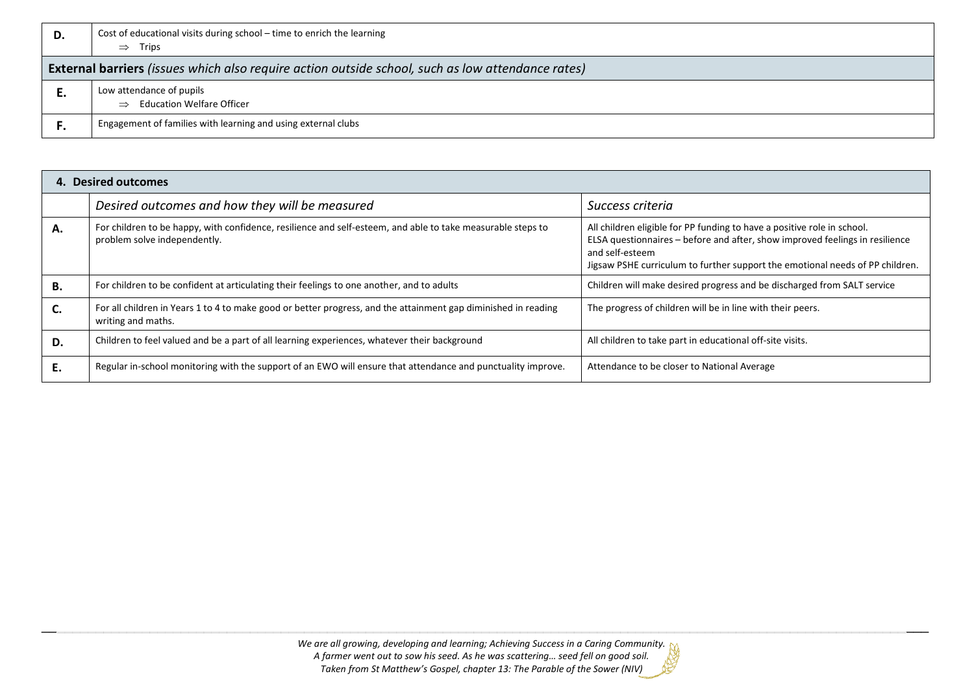| D.                                                                                                       | Cost of educational visits during school – time to enrich the learning<br>$\Rightarrow$ Trips |  |  |
|----------------------------------------------------------------------------------------------------------|-----------------------------------------------------------------------------------------------|--|--|
| <b>External barriers</b> (issues which also require action outside school, such as low attendance rates) |                                                                                               |  |  |
| ъ.                                                                                                       | Low attendance of pupils<br>$\Rightarrow$ Education Welfare Officer                           |  |  |
|                                                                                                          | Engagement of families with learning and using external clubs                                 |  |  |

| 4. Desired outcomes |                                                                                                                                             |                                                                                                                                                                                                                                                             |  |
|---------------------|---------------------------------------------------------------------------------------------------------------------------------------------|-------------------------------------------------------------------------------------------------------------------------------------------------------------------------------------------------------------------------------------------------------------|--|
|                     | Desired outcomes and how they will be measured                                                                                              | Success criteria                                                                                                                                                                                                                                            |  |
| А.                  | For children to be happy, with confidence, resilience and self-esteem, and able to take measurable steps to<br>problem solve independently. | All children eligible for PP funding to have a positive role in school.<br>ELSA questionnaires – before and after, show improved feelings in resilience<br>and self-esteem<br>Jigsaw PSHE curriculum to further support the emotional needs of PP children. |  |
| В.                  | For children to be confident at articulating their feelings to one another, and to adults                                                   | Children will make desired progress and be discharged from SALT service                                                                                                                                                                                     |  |
| C.                  | For all children in Years 1 to 4 to make good or better progress, and the attainment gap diminished in reading<br>writing and maths.        | The progress of children will be in line with their peers.                                                                                                                                                                                                  |  |
| D.                  | Children to feel valued and be a part of all learning experiences, whatever their background                                                | All children to take part in educational off-site visits.                                                                                                                                                                                                   |  |
| Ε.                  | Regular in-school monitoring with the support of an EWO will ensure that attendance and punctuality improve.                                | Attendance to be closer to National Average                                                                                                                                                                                                                 |  |

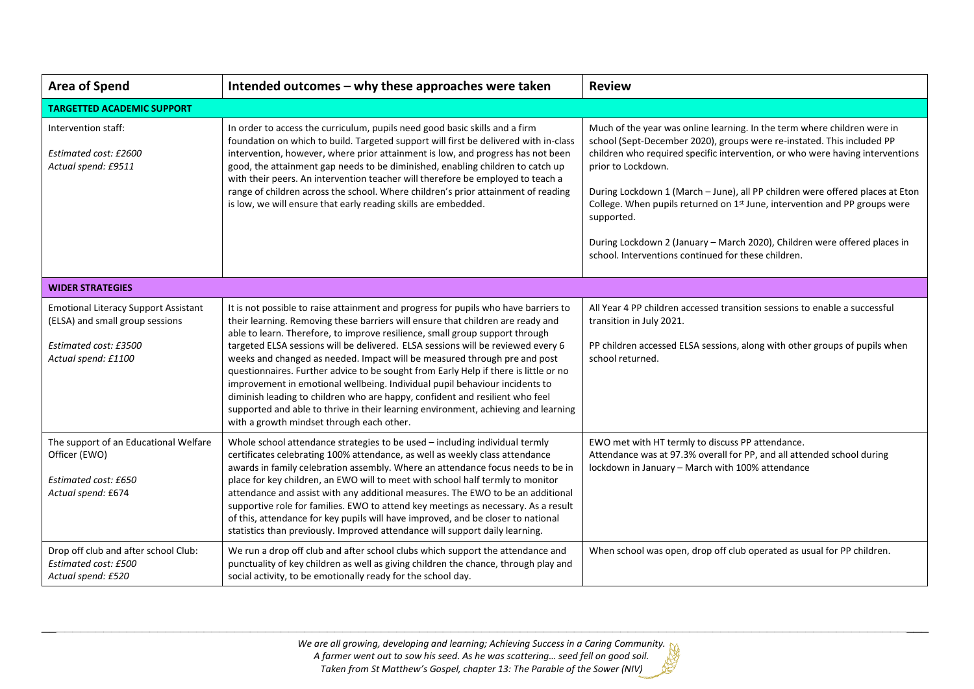| <b>Area of Spend</b><br>Intended outcomes - why these approaches were taken                                                    |                                                                                                                                                                                                                                                                                                                                                                                                                                                                                                                                                                                                                                                                                                                                                                                                                   | <b>Review</b>                                                                                                                                                                                                                                                                                                                                                                                                                                                                                                                                                                |  |
|--------------------------------------------------------------------------------------------------------------------------------|-------------------------------------------------------------------------------------------------------------------------------------------------------------------------------------------------------------------------------------------------------------------------------------------------------------------------------------------------------------------------------------------------------------------------------------------------------------------------------------------------------------------------------------------------------------------------------------------------------------------------------------------------------------------------------------------------------------------------------------------------------------------------------------------------------------------|------------------------------------------------------------------------------------------------------------------------------------------------------------------------------------------------------------------------------------------------------------------------------------------------------------------------------------------------------------------------------------------------------------------------------------------------------------------------------------------------------------------------------------------------------------------------------|--|
| <b>TARGETTED ACADEMIC SUPPORT</b>                                                                                              |                                                                                                                                                                                                                                                                                                                                                                                                                                                                                                                                                                                                                                                                                                                                                                                                                   |                                                                                                                                                                                                                                                                                                                                                                                                                                                                                                                                                                              |  |
| Intervention staff:<br>Estimated cost: £2600<br>Actual spend: £9511                                                            | In order to access the curriculum, pupils need good basic skills and a firm<br>foundation on which to build. Targeted support will first be delivered with in-class<br>intervention, however, where prior attainment is low, and progress has not been<br>good, the attainment gap needs to be diminished, enabling children to catch up<br>with their peers. An intervention teacher will therefore be employed to teach a<br>range of children across the school. Where children's prior attainment of reading<br>is low, we will ensure that early reading skills are embedded.                                                                                                                                                                                                                                | Much of the year was online learning. In the term where children were in<br>school (Sept-December 2020), groups were re-instated. This included PP<br>children who required specific intervention, or who were having interventions<br>prior to Lockdown.<br>During Lockdown 1 (March - June), all PP children were offered places at Eton<br>College. When pupils returned on $1st$ June, intervention and PP groups were<br>supported.<br>During Lockdown 2 (January - March 2020), Children were offered places in<br>school. Interventions continued for these children. |  |
| <b>WIDER STRATEGIES</b>                                                                                                        |                                                                                                                                                                                                                                                                                                                                                                                                                                                                                                                                                                                                                                                                                                                                                                                                                   |                                                                                                                                                                                                                                                                                                                                                                                                                                                                                                                                                                              |  |
| <b>Emotional Literacy Support Assistant</b><br>(ELSA) and small group sessions<br>Estimated cost: £3500<br>Actual spend: £1100 | It is not possible to raise attainment and progress for pupils who have barriers to<br>their learning. Removing these barriers will ensure that children are ready and<br>able to learn. Therefore, to improve resilience, small group support through<br>targeted ELSA sessions will be delivered. ELSA sessions will be reviewed every 6<br>weeks and changed as needed. Impact will be measured through pre and post<br>questionnaires. Further advice to be sought from Early Help if there is little or no<br>improvement in emotional wellbeing. Individual pupil behaviour incidents to<br>diminish leading to children who are happy, confident and resilient who feel<br>supported and able to thrive in their learning environment, achieving and learning<br>with a growth mindset through each other. | All Year 4 PP children accessed transition sessions to enable a successful<br>transition in July 2021.<br>PP children accessed ELSA sessions, along with other groups of pupils when<br>school returned.                                                                                                                                                                                                                                                                                                                                                                     |  |
| The support of an Educational Welfare<br>Officer (EWO)<br>Estimated cost: £650<br>Actual spend: £674                           | Whole school attendance strategies to be used - including individual termly<br>certificates celebrating 100% attendance, as well as weekly class attendance<br>awards in family celebration assembly. Where an attendance focus needs to be in<br>place for key children, an EWO will to meet with school half termly to monitor<br>attendance and assist with any additional measures. The EWO to be an additional<br>supportive role for families. EWO to attend key meetings as necessary. As a result<br>of this, attendance for key pupils will have improved, and be closer to national<br>statistics than previously. Improved attendance will support daily learning.                                                                                                                                     | EWO met with HT termly to discuss PP attendance.<br>Attendance was at 97.3% overall for PP, and all attended school during<br>lockdown in January - March with 100% attendance                                                                                                                                                                                                                                                                                                                                                                                               |  |
| Drop off club and after school Club:<br>Estimated cost: £500<br>Actual spend: £520                                             | We run a drop off club and after school clubs which support the attendance and<br>punctuality of key children as well as giving children the chance, through play and<br>social activity, to be emotionally ready for the school day.                                                                                                                                                                                                                                                                                                                                                                                                                                                                                                                                                                             | When school was open, drop off club operated as usual for PP children.                                                                                                                                                                                                                                                                                                                                                                                                                                                                                                       |  |